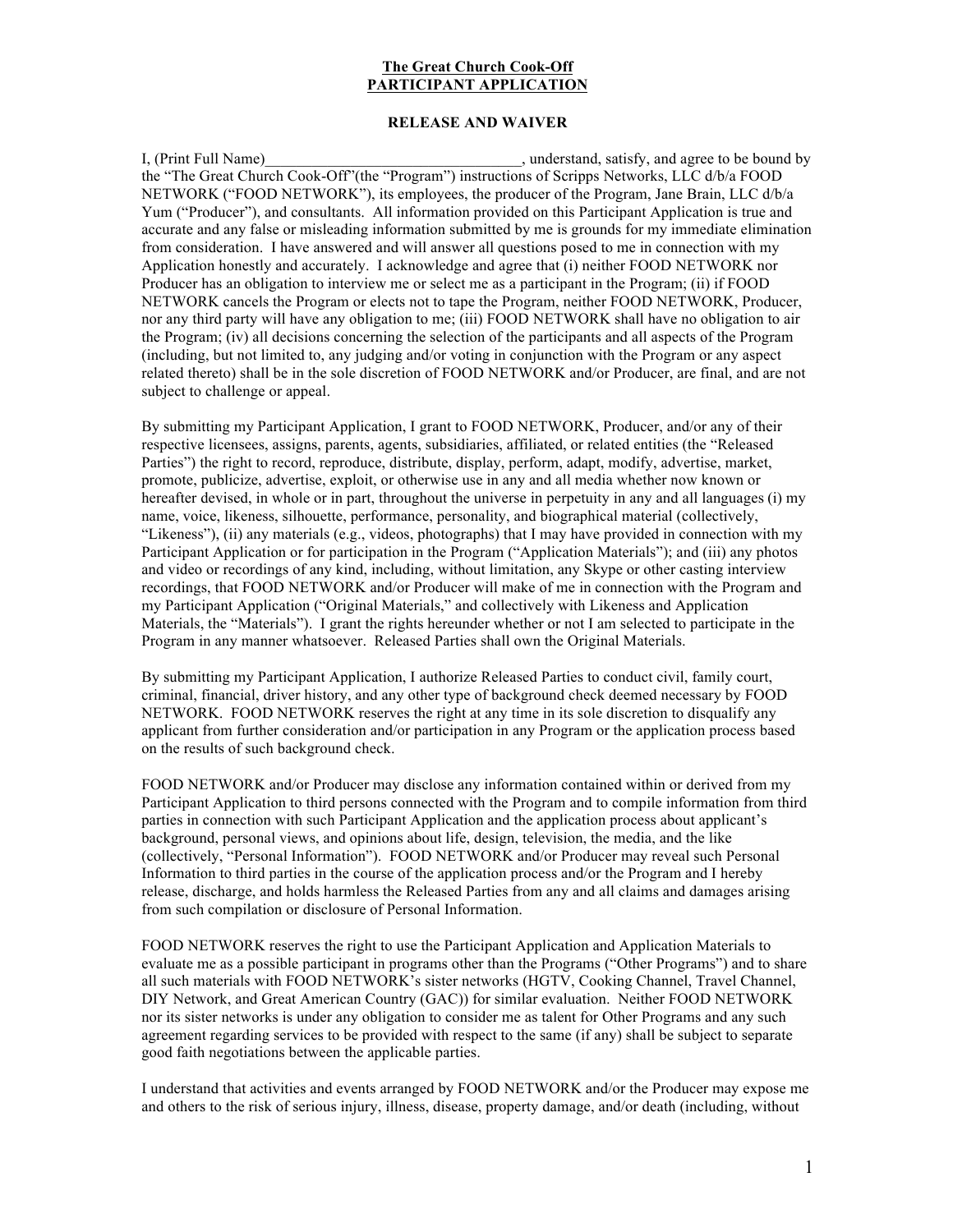## **The Great Church Cook-Off PARTICIPANT APPLICATION**

## **RELEASE AND WAIVER**

I, (Print Full Name) and intervals of the subset of the stand, satisfy, and agree to be bound by the "The Great Church Cook-Off"(the "Program") instructions of Scripps Networks, LLC d/b/a FOOD NETWORK ("FOOD NETWORK"), its employees, the producer of the Program, Jane Brain, LLC d/b/a Yum ("Producer"), and consultants. All information provided on this Participant Application is true and accurate and any false or misleading information submitted by me is grounds for my immediate elimination from consideration. I have answered and will answer all questions posed to me in connection with my Application honestly and accurately. I acknowledge and agree that (i) neither FOOD NETWORK nor Producer has an obligation to interview me or select me as a participant in the Program; (ii) if FOOD NETWORK cancels the Program or elects not to tape the Program, neither FOOD NETWORK, Producer, nor any third party will have any obligation to me; (iii) FOOD NETWORK shall have no obligation to air the Program; (iv) all decisions concerning the selection of the participants and all aspects of the Program (including, but not limited to, any judging and/or voting in conjunction with the Program or any aspect related thereto) shall be in the sole discretion of FOOD NETWORK and/or Producer, are final, and are not subject to challenge or appeal.

By submitting my Participant Application, I grant to FOOD NETWORK, Producer, and/or any of their respective licensees, assigns, parents, agents, subsidiaries, affiliated, or related entities (the "Released Parties") the right to record, reproduce, distribute, display, perform, adapt, modify, advertise, market, promote, publicize, advertise, exploit, or otherwise use in any and all media whether now known or hereafter devised, in whole or in part, throughout the universe in perpetuity in any and all languages (i) my name, voice, likeness, silhouette, performance, personality, and biographical material (collectively, "Likeness"), (ii) any materials (e.g., videos, photographs) that I may have provided in connection with my Participant Application or for participation in the Program ("Application Materials"); and (iii) any photos and video or recordings of any kind, including, without limitation, any Skype or other casting interview recordings, that FOOD NETWORK and/or Producer will make of me in connection with the Program and my Participant Application ("Original Materials," and collectively with Likeness and Application Materials, the "Materials"). I grant the rights hereunder whether or not I am selected to participate in the Program in any manner whatsoever. Released Parties shall own the Original Materials.

By submitting my Participant Application, I authorize Released Parties to conduct civil, family court, criminal, financial, driver history, and any other type of background check deemed necessary by FOOD NETWORK. FOOD NETWORK reserves the right at any time in its sole discretion to disqualify any applicant from further consideration and/or participation in any Program or the application process based on the results of such background check.

FOOD NETWORK and/or Producer may disclose any information contained within or derived from my Participant Application to third persons connected with the Program and to compile information from third parties in connection with such Participant Application and the application process about applicant's background, personal views, and opinions about life, design, television, the media, and the like (collectively, "Personal Information"). FOOD NETWORK and/or Producer may reveal such Personal Information to third parties in the course of the application process and/or the Program and I hereby release, discharge, and holds harmless the Released Parties from any and all claims and damages arising from such compilation or disclosure of Personal Information.

FOOD NETWORK reserves the right to use the Participant Application and Application Materials to evaluate me as a possible participant in programs other than the Programs ("Other Programs") and to share all such materials with FOOD NETWORK's sister networks (HGTV, Cooking Channel, Travel Channel, DIY Network, and Great American Country (GAC)) for similar evaluation. Neither FOOD NETWORK nor its sister networks is under any obligation to consider me as talent for Other Programs and any such agreement regarding services to be provided with respect to the same (if any) shall be subject to separate good faith negotiations between the applicable parties.

I understand that activities and events arranged by FOOD NETWORK and/or the Producer may expose me and others to the risk of serious injury, illness, disease, property damage, and/or death (including, without